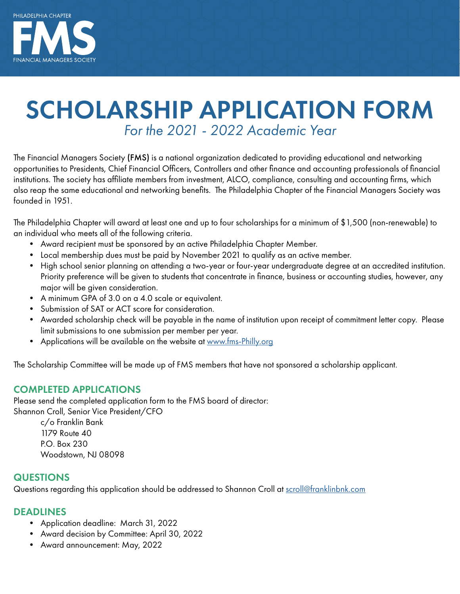

# SCHOLARSHIP APPLICATION FORM *For the 2021 - 2022 Academic Year*

The Financial Managers Society (FMS) is a national organization dedicated to providing educational and networking opportunities to Presidents, Chief Financial Officers, Controllers and other finance and accounting professionals of financial institutions. The society has affiliate members from investment, ALCO, compliance, consulting and accounting firms, which also reap the same educational and networking benefits. The Philadelphia Chapter of the Financial Managers Society was founded in 1951.

The Philadelphia Chapter will award at least one and up to four scholarships for a minimum of \$1,500 (non-renewable) to an individual who meets all of the following criteria.

- Award recipient must be sponsored by an active Philadelphia Chapter Member.
- Local membership dues must be paid by November 2021 to qualify as an active member.
- High school senior planning on attending a two-year or four-year undergraduate degree at an accredited institution. Priority preference will be given to students that concentrate in finance, business or accounting studies, however, any major will be given consideration.
- A minimum GPA of 3.0 on a 4.0 scale or equivalent.
- Submission of SAT or ACT score for consideration.
- Awarded scholarship check will be payable in the name of institution upon receipt of commitment letter copy. Please limit submissions to one submission per member per year.
- Applications will be available on the website at [www.fms-Philly.org](https://www.fms-Philly.org)

The Scholarship Committee will be made up of FMS members that have not sponsored a scholarship applicant.

#### COMPLETED APPLICATIONS

Please send the completed application form to the FMS board of director: Shannon Croll, Senior Vice President/CFO

c/o Franklin Bank 1179 Route 40 P.O. Box 230 Woodstown, NJ 08098

#### **QUESTIONS**

Questions regarding this application should be addressed to Shannon Croll at [scroll@franklinbnk.com](mailto:scroll%40franklinbnk.com?subject=FMS%20Philadelphia%20Chapter%20Scholarship%20Question)

#### DEADLINES

- Application deadline: March 31, 2022
- Award decision by Committee: April 30, 2022
- Award announcement: May, 2022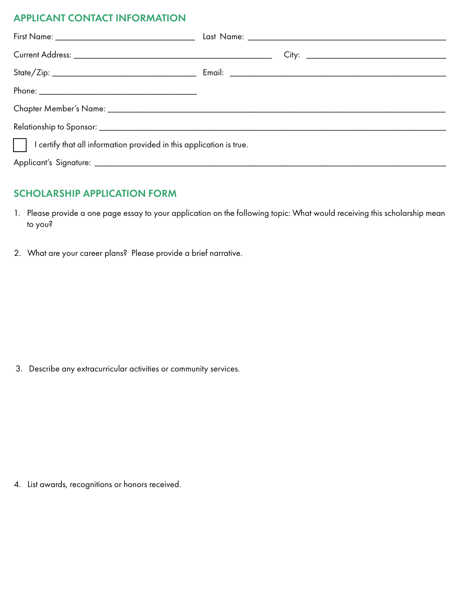## APPLICANT CONTACT INFORMATION

| $\vert \ \vert$ I certify that all information provided in this application is true. |  |  |  |  |
|--------------------------------------------------------------------------------------|--|--|--|--|
|                                                                                      |  |  |  |  |

## SCHOLARSHIP APPLICATION FORM

- 1. Please provide a one page essay to your application on the following topic: What would receiving this scholarship mean to you?
- 2. What are your career plans? Please provide a brief narrative.

3. Describe any extracurricular activities or community services.

4. List awards, recognitions or honors received.